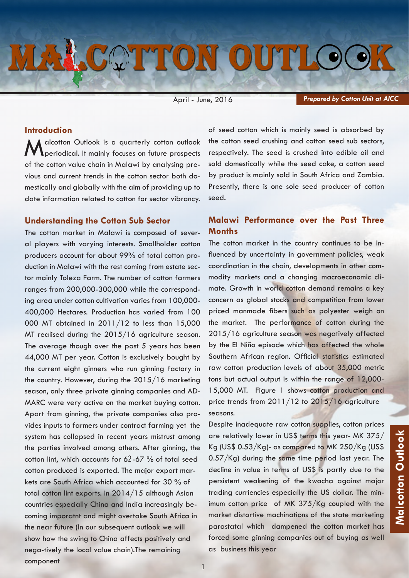# MALCOTTON OUTLOOK

April - June, 2016

*Prepared by Cotton Unit at AICC*

# **Introduction**

alcotton Outlook is a quarterly cotton outlook periodical. It mainly focuses on future prospects of the cotton value chain in Malawi by analysing previous and current trends in the cotton sector both domestically and globally with the aim of providing up to date information related to cotton for sector vibrancy.

# **Understanding the Cotton Sub Sector**

The cotton market in Malawi is composed of several players with varying interests. Smallholder cotton producers account for about 99% of total cotton production in Malawi with the rest coming from estate sector mainly Toleza Farm. The number of cotton farmers ranges from 200,000-300,000 while the corresponding area under cotton cultivation varies from 100,000- 400,000 Hectares. Production has varied from 100 000 MT obtained in 2011/12 to less than 15,000 MT realised during the 2015/16 agriculture season. The average though over the past 5 years has been 44,000 MT per year. Cotton is exclusively bought by the current eight ginners who run ginning factory in the country. However, during the 2015/16 marketing season, only three private ginning companies and AD-MARC were very active on the market buying cotton. Apart from ginning, the private companies also provides inputs to farmers under contract farming yet the system has collapsed in recent years mistrust among the parties involved among others. After ginning, the cotton lint, which accounts for 62-67 % of total seed cotton produced is exported. The major export markets are South Africa which accounted for 30 % of total cotton lint exports. in 2014/15 although Asian countries especially China and India increasingly becoming imporatnt and might overtake South Africa in the near future (In our subsequent outlook we will show how the swing to China affects positively and nega-tively the local value chain).The remaining component

of seed cotton which is mainly seed is absorbed by the cotton seed crushing and cotton seed sub sectors, respectively. The seed is crushed into edible oil and sold domestically while the seed cake, a cotton seed by product is mainly sold in South Africa and Zambia. Presently, there is one sole seed producer of cotton seed.

# **Malawi Performance over the Past Three Months**

The cotton market in the country continues to be influenced by uncertainty in government policies, weak coordination in the chain, developments in other commodity markets and a changing macroeconomic climate. Growth in world cotton demand remains a key concern as global stocks and competition from lower priced manmade fibers such as polyester weigh on the market. The performance of cotton during the 2015/16 agriculture season was negatively affected by the El Niño episode which has affected the whole Southern African region. Official statistics estimated raw cotton production levels of about 35,000 metric tons but actual output is within the range of 12,000- 15,000 MT. Figure 1 shows cotton production and price trends from 2011/12 to 2015/16 agriculture seasons.

Despite inadequate raw cotton supplies, cotton prices are relatively lower in US\$ terms this year- MK 375/ Kg (US\$ 0.53/Kg)- as compared to MK 250/Kg (US\$ 0.57/Kg) during the same time period last year. The decline in value in terms of US\$ is partly due to the persistent weakening of the kwacha against major trading curriencies especially the US dollar. The minimum cotton price of MK 375/Kg coupled with the market distortive machinations of the state marketing parastatal which dampened the cotton market has forced some ginning companies out of buying as well as business this year

1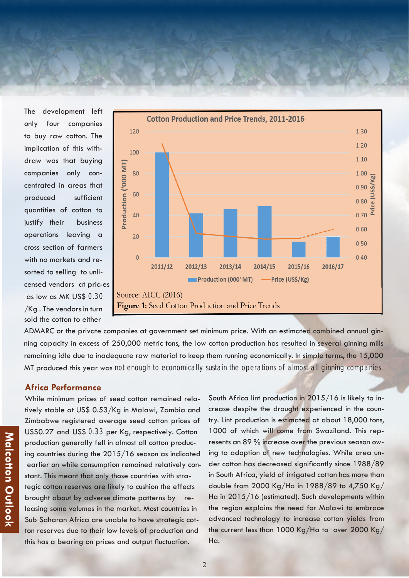The development left only four companies to buy raw cotton. The implication of this withdraw was that buying companies only concentrated in areas that produced sufficient quantities of cotton to justify their business operations leaving a cross section of farmers with no markets and resorted to selling to unlicensed vendors at pric-es as low as MK US\$ 0.30 /Kg . The vendors in turn sold the cotton to either



ADMARC or the private companies at government set minimum price. With an estimated combined annual ginning capacity in excess of 250,000 metric tons, the low cotton production has resulted in several ginning mills remaining idle due to inadequate raw material to keep them running economically. In simple terms, the 15,000 MT produced this year was not enough to economically sustain the operations of almost all ginning companies.

## **Africa Performance**

While minimum prices of seed cotton remained relatively stable at US\$ 0.53/Kg in Malawi, Zambia and Zimbabwe registered average seed cotton prices of US\$0.27 and US\$ 0.33 per Kg, respectively. Cotton production generally fell in almost all cotton producing countries during the 2015/16 season as indicated earlier on while consumption remained relatively constant. This meant that only those countries with strategic cotton reserves are likely to cushion the effects brought about by adverse climate patterns by releasing some volumes in the market. Most countries in Sub Saharan Africa are unable to have strategic cotton reserves due to their low levels of production and this has a bearing on prices and output fluctuation.

South Africa lint production in 2015/16 is likely to increase despite the drought experienced in the country. Lint production is estimated at about 18,000 tons, 1000 of which will come from Swaziland. This represents an 89 % increase over the previous season owing to adoption of new technologies. While area under cotton has decreased significantly since 1988/89 in South Africa, yield of irrigated cotton has more than double from 2000 Kg/Ha in 1988/89 to 4,750 Kg/ Ha in 2015/16 (estimated). Such developments within the region explains the need for Malawi to embrace advanced technology to increase cotton yields from the current less than 1000 Kg/Ha to over 2000 Kg/ Ha.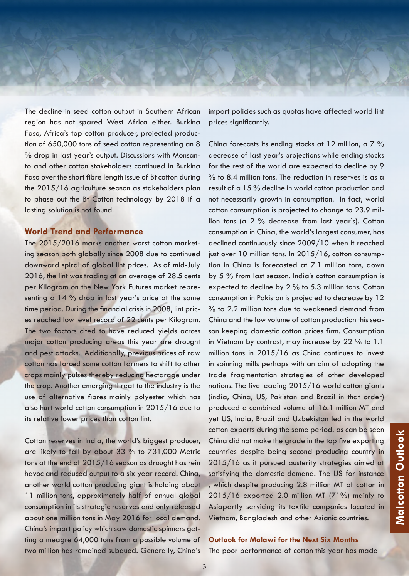

The decline in seed cotton output in Southern African region has not spared West Africa either. Burkina Faso, Africa's top cotton producer, projected production of 650,000 tons of seed cotton representing an 8 % drop in last year's output. Discussions with Monsanto and other cotton stakeholders continued in Burkina Faso over the short fibre length issue of Bt cotton during the 2015/16 agriculture season as stakeholders plan to phase out the Bt Cotton technology by 2018 if a lasting solution is not found.

# **World Trend and Performance**

The 2015/2016 marks another worst cotton marketing season both globally since 2008 due to continued downward spiral of global lint prices. As of mid-July 2016, the lint was trading at an average of 28.5 cents per Kilogram on the New York Futures market representing a 14 % drop in last year's price at the same time period. During the financial crisis in 2008, lint prices reached low level record of 22 cents per Kilogram. The two factors cited to have reduced yields across major cotton producing areas this year are drought and pest attacks. Additionally, previous prices of raw cotton has forced some cotton farmers to shift to other crops mainly pulses thereby reducing hectarage under the crop. Another emerging threat to the industry is the use of alternative fibres mainly polyester which has also hurt world cotton consumption in 2015/16 due to its relative lower prices than cotton lint.

Cotton reserves in India, the world's biggest producer, are likely to fall by about 33 % to 731,000 Metric tons at the end of 2015/16 season as drought has rein havoc and reduced output to a six year record. China, another world cotton producing giant is holding about 11 million tons, approximately half of annual global consumption in its strategic reserves and only released about one million tons in May 2016 for local demand. China's import policy which saw domestic spinners getting a meagre 64,000 tons from a possible volume of two million has remained subdued. Generally, China's

import policies such as quotas have affected world lint prices significantly.

China forecasts its ending stocks at 12 million, a 7 % decrease of last year's projections while ending stocks for the rest of the world are expected to decline by 9  $%$  to 8.4 million tons. The reduction in reserves is as a result of a 15 % decline in world cotton production and not necessarily growth in consumption. In fact, world cotton consumption is projected to change to 23.9 million tons (a 2 % decrease from last year's). Cotton consumption in China, the world's largest consumer, has declined continuously since 2009/10 when it reached just over 10 million tons. In 2015/16, cotton consumption in China is forecasted at 7.1 million tons, down by 5 % from last season. India's cotton consumption is expected to decline by 2 % to 5.3 million tons. Cotton consumption in Pakistan is projected to decrease by 12 % to 2.2 million tons due to weakened demand from China and the low volume of cotton production this season keeping domestic cotton prices firm. Consumption in Vietnam by contrast, may increase by 22 % to 1.1 million tons in 2015/16 as China continues to invest in spinning mills perhaps with an aim of adopting the trade fragmentation strategies of other developed nations. The five leading 2015/16 world cotton giants (india, China, US, Pakistan and Brazil in that order) produced a combined volume of 16.1 million MT and yet US, India, Brazil and Uzbekistan led in the world cotton exports during the same period. as can be seen China did not make the grade in the top five exporting countries despite being second producing country in 2015/16 as it pursued austerity strategies aimed at satisfying the domestic demand. The US for instance , which despite producing 2.8 million MT of cotton in 2015/16 exported 2.0 million MT (71%) mainly to Asiapartly servicing its textile companies located in Vietnam, Bangladesh and other Asianic countries.

## **Outlook for Malawi for the Next Six Months**

The poor performance of cotton this year has made